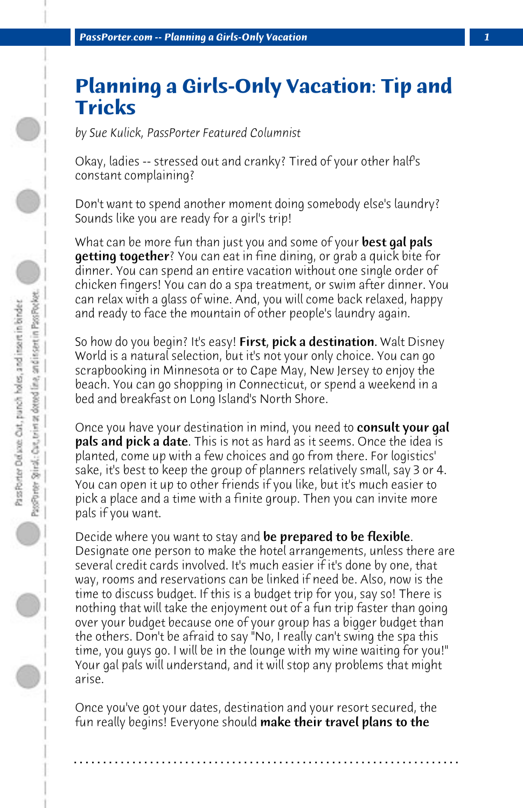## **Planning a Girls-Only Vacation: Tip and Tricks**

*by Sue Kulick, PassPorter Featured Columnist*

Okay, ladies -- stressed out and cranky? Tired of your other half's constant complaining?

Don't want to spend another moment doing somebody else's laundry? Sounds like you are ready for a girl's trip!

What can be more fun than just you and some of your **best gal pals getting together**? You can eat in fine dining, or grab a quick bite for dinner. You can spend an entire vacation without one single order of chicken fingers! You can do a spa treatment, or swim after dinner. You can relax with a glass of wine. And, you will come back relaxed, happy and ready to face the mountain of other people's laundry again.

So how do you begin? It's easy! **First, pick a destination.** Walt Disney World is a natural selection, but it's not your only choice. You can go scrapbooking in Minnesota or to Cape May, New Jersey to enjoy the beach. You can go shopping in Connecticut, or spend a weekend in a bed and breakfast on Long Island's North Shore.

Once you have your destination in mind, you need to consult your gal **pals and pick a date**. This is not as hard as it seems. Once the idea is planted, come up with a few choices and go from there. For logistics' sake, it's best to keep the group of planners relatively small, say 3 or 4. You can open it up to other friends if you like, but it's much easier to pick a place and a time with a finite group. Then you can invite more pals if you want.

Decide where you want to stay and be prepared to be flexible. Designate one person to make the hotel arrangements, unless there are several credit cards involved. It's much easier if it's done by one, that way, rooms and reservations can be linked if need be. Also, now is the time to discuss budget. If this is a budget trip for you, say so! There is nothing that will take the enjoyment out of a fun trip faster than going over your budget because one of your group has a bigger budget than the others. Don't be afraid to say "No, I really can't swing the spa this time, you guys go. I will be in the lounge with my wine waiting for you!" Your gal pals will understand, and it will stop any problems that might arise.

Once you've got your dates, destination and your resort secured, the fun really begins! Everyone should **make their travel plans to the** 

**. . . . . . . . . . . . . . . . . . . . . . . . . . . . . . . . . . . . . . . . . . . . . . . . . . . . . . . . . . . . . . . . . .**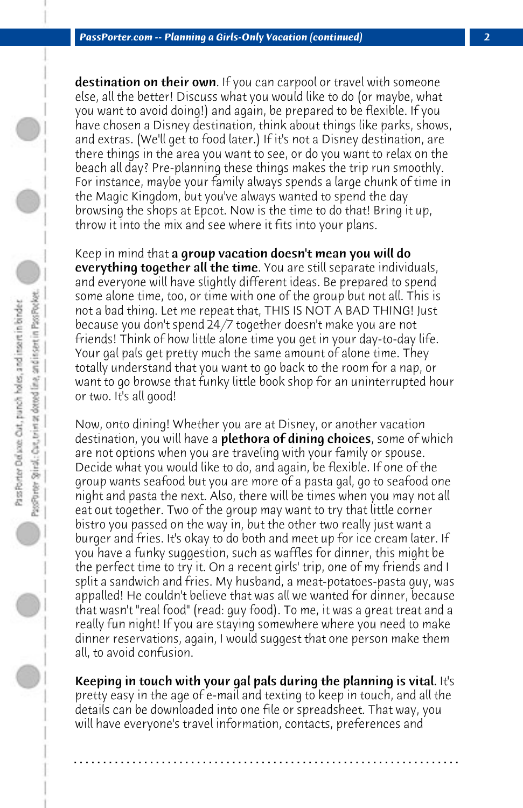destination on their own. If you can carpool or travel with someone else, all the better! Discuss what you would like to do (or maybe, what you want to avoid doing!) and again, be prepared to be flexible. If you have chosen a Disney destination, think about things like parks, shows, and extras. (We'll get to food later.) If it's not a Disney destination, are there things in the area you want to see, or do you want to relax on the beach all day? Pre-planning these things makes the trip run smoothly. For instance, maybe your family always spends a large chunk of time in the Magic Kingdom, but you've always wanted to spend the day browsing the shops at Epcot. Now is the time to do that! Bring it up, throw it into the mix and see where it fits into your plans.

Keep in mind that a group vacation doesn't mean you will do **everything together all the time**. You are still separate individuals, and everyone will have slightly different ideas. Be prepared to spend some alone time, too, or time with one of the group but not all. This is not a bad thing. Let me repeat that, THIS IS NOT A BAD THING! Just because you don't spend 24/7 together doesn't make you are not friends! Think of how little alone time you get in your day-to-day life. Your gal pals get pretty much the same amount of alone time. They totally understand that you want to go back to the room for a nap, or want to go browse that funky little book shop for an uninterrupted hour or two. It's all good!

Now, onto dining! Whether you are at Disney, or another vacation destination, you will have a **plethora of dining choices**, some of which are not options when you are traveling with your family or spouse. Decide what you would like to do, and again, be flexible. If one of the group wants seafood but you are more of a pasta gal, go to seafood one night and pasta the next. Also, there will be times when you may not all eat out together. Two of the group may want to try that little corner bistro you passed on the way in, but the other two really just want a burger and fries. It's okay to do both and meet up for ice cream later. If you have a funky suggestion, such as waffles for dinner, this might be the perfect time to try it. On a recent girls' trip, one of my friends and I split a sandwich and fries. My husband, a meat-potatoes-pasta guy, was appalled! He couldn't believe that was all we wanted for dinner, because that wasn't "real food" (read: guy food). To me, it was a great treat and a really fun night! If you are staying somewhere where you need to make dinner reservations, again, I would suggest that one person make them all, to avoid confusion.

Keeping in touch with your gal pals during the planning is vital. It's pretty easy in the age of e-mail and texting to keep in touch, and all the details can be downloaded into one file or spreadsheet. That way, you will have everyone's travel information, contacts, preferences and

**. . . . . . . . . . . . . . . . . . . . . . . . . . . . . . . . . . . . . . . . . . . . . . . . . . . . . . . . . . . . . . . . . .**